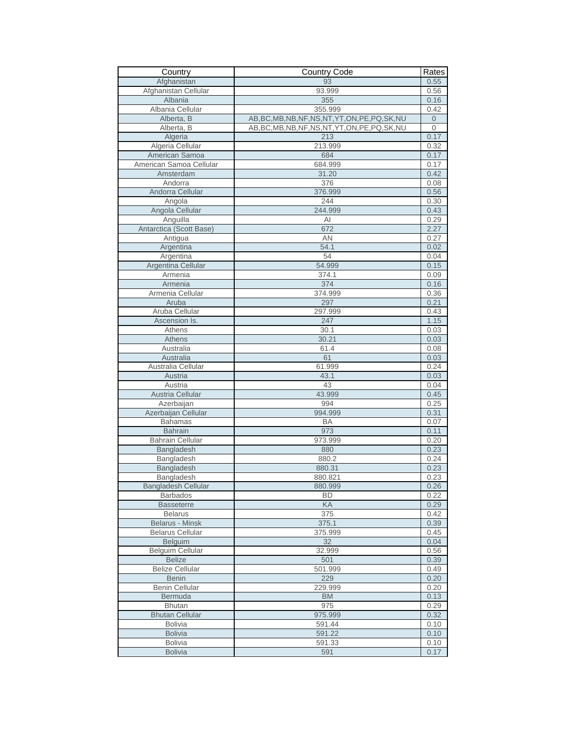| Country                    | <b>Country Code</b>                                | Rates          |
|----------------------------|----------------------------------------------------|----------------|
| Afghanistan                | 93                                                 | 0.55           |
| Afghanistan Cellular       | 93.999                                             | 0.56           |
| Albania                    | 355                                                | 0.16           |
| Albania Cellular           | 355.999                                            | 0.42           |
| Alberta, B                 | AB, BC, MB, NB, NF, NS, NT, YT, ON, PE, PQ, SK, NU | $\overline{0}$ |
| Alberta, B                 | AB, BC, MB, NB, NF, NS, NT, YT, ON, PE, PQ, SK, NU | $\mathbf 0$    |
| Algeria                    | 213                                                | 0.17           |
| Algeria Cellular           | 213.999                                            | 0.32           |
| American Samoa             | 684                                                | 0.17           |
| American Samoa Cellular    | 684.999                                            | 0.17           |
| Amsterdam                  | 31.20                                              | 0.42           |
| Andorra                    | 376                                                | 0.08           |
| Andorra Cellular           | 376.999                                            | 0.56           |
| Angola                     | 244                                                | 0.30           |
| Angola Cellular            | 244.999                                            | 0.43           |
| Anguilla                   | AI                                                 | 0.29           |
| Antarctica (Scott Base)    | 672                                                | 2.27           |
| Antigua                    | AN                                                 | 0.27           |
| Argentina                  | 54.1                                               | 0.02           |
| Argentina                  | 54                                                 | 0.04           |
| Argentina Cellular         | 54.999                                             | 0.15           |
| Armenia                    | 374.1                                              | 0.09           |
| Armenia                    | 374                                                | 0.16           |
| Armenia Cellular           | 374.999                                            | 0.36           |
| Aruba                      | 297                                                | 0.21           |
| Aruba Cellular             | 297.999                                            | 0.43           |
| Ascension Is.              | 247                                                | 1.15           |
| Athens                     | 30.1                                               | 0.03           |
| Athens                     | 30.21                                              | 0.03           |
| Australia                  | 61.4                                               | 0.08           |
| Australia                  | 61                                                 | 0.03           |
| Australia Cellular         | 61.999                                             | 0.24           |
| Austria                    | 43.1                                               | 0.03           |
| Austria                    | 43                                                 | 0.04           |
| Austria Cellular           | 43.999                                             | 0.45           |
| Azerbaijan                 | 994                                                | 0.25           |
| Azerbaijan Cellular        | 994.999                                            | 0.31           |
| <b>Bahamas</b>             | <b>BA</b>                                          | 0.07           |
| <b>Bahrain</b>             | 973                                                | 0.11           |
| <b>Bahrain Cellular</b>    | 973.999                                            | 0.20           |
| Bangladesh                 | 880                                                | 0.23           |
| Bangladesh                 | 880.2                                              | 0.24           |
| Bangladesh                 | 880.31                                             | 0.23           |
| Bangladesh                 | 880.821                                            | 0.23           |
| <b>Bangladesh Cellular</b> | 880.999                                            | 0.26           |
| <b>Barbados</b>            | <b>BD</b>                                          | 0.22           |
| <b>Basseterre</b>          | KA                                                 | 0.29           |
| <b>Belarus</b>             | 375                                                | 0.42           |
| <b>Belarus - Minsk</b>     | 375.1                                              | 0.39           |
| <b>Belarus Cellular</b>    | 375.999                                            | 0.45           |
| Belguim                    | 32                                                 | 0.04           |
| <b>Belguim Cellular</b>    | 32.999                                             | 0.56           |
| <b>Belize</b>              | 501                                                | 0.39           |
| <b>Belize Cellular</b>     | 501.999                                            | 0.49           |
| <b>Benin</b>               | 229                                                | 0.20           |
| <b>Benin Cellular</b>      | 229.999                                            | 0.20           |
| Bermuda                    | <b>BM</b>                                          | 0.13           |
| <b>Bhutan</b>              | 975                                                | 0.29           |
| <b>Bhutan Cellular</b>     | 975.999                                            | 0.32           |
| <b>Bolivia</b>             | 591.44                                             | 0.10           |
| <b>Bolivia</b>             | 591.22                                             | 0.10           |
| <b>Bolivia</b>             | 591.33                                             | 0.10           |
| <b>Bolivia</b>             | 591                                                | 0.17           |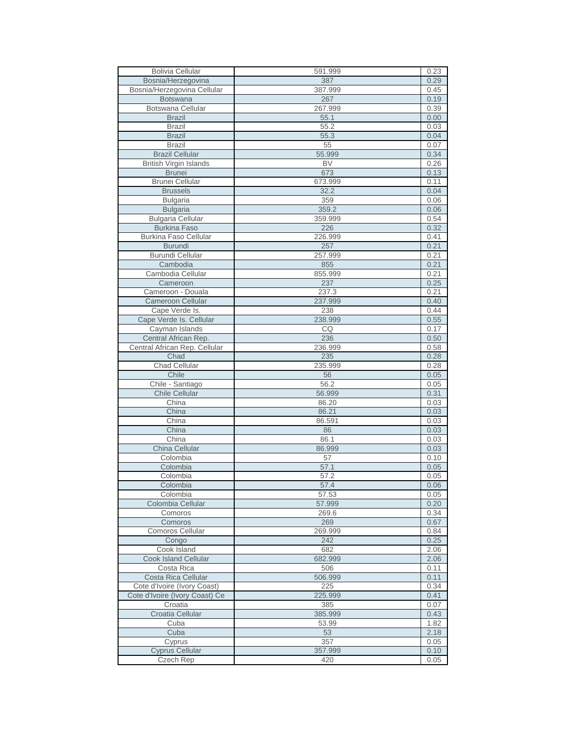| <b>Bolivia Cellular</b>                   | 591.999        | 0.23         |
|-------------------------------------------|----------------|--------------|
| Bosnia/Herzegovina                        | 387            | 0.29         |
| Bosnia/Herzegovina Cellular               | 387.999        | 0.45         |
| Botswana                                  | 267            | 0.19         |
| Botswana Cellular                         | 267.999        | 0.39         |
| <b>Brazil</b>                             | 55.1           | 0.00         |
| <b>Brazil</b>                             | 55.2           | 0.03         |
| <b>Brazil</b>                             | 55.3           | 0.04         |
| <b>Brazil</b>                             | 55             | 0.07         |
| <b>Brazil Cellular</b>                    | 55.999         | 0.34         |
| <b>British Virgin Islands</b>             | <b>BV</b>      | 0.26         |
| <b>Brunei</b>                             | 673            | 0.13         |
| <b>Brunei Cellular</b>                    | 673.999        | 0.11         |
| <b>Brussels</b>                           | 32.2           | 0.04         |
| <b>Bulgaria</b>                           | 359            | 0.06         |
| <b>Bulgaria</b>                           | 359.2          | 0.06         |
| <b>Bulgaria Cellular</b>                  | 359.999        | 0.54         |
| <b>Burkina Faso</b>                       | 226            | 0.32         |
| <b>Burkina Faso Cellular</b>              | 226.999        | 0.41         |
| <b>Burundi</b><br><b>Burundi Cellular</b> | 257            | 0.21         |
|                                           | 257.999<br>855 | 0.21         |
| Cambodia                                  |                | 0.21         |
| Cambodia Cellular<br>Cameroon             | 855.999<br>237 | 0.21<br>0.25 |
| Cameroon - Douala                         | 237.3          | 0.21         |
| <b>Cameroon Cellular</b>                  | 237.999        | 0.40         |
| Cape Verde Is.                            | 238            | 0.44         |
| Cape Verde Is. Cellular                   | 238.999        | 0.55         |
| Cayman Islands                            | CQ             | 0.17         |
| Central African Rep.                      | 236            | 0.50         |
| Central African Rep. Cellular             | 236.999        | 0.58         |
| Chad                                      | 235            | 0.28         |
| <b>Chad Cellular</b>                      | 235.999        | 0.28         |
| Chile                                     | 56             | 0.05         |
| Chile - Santiago                          | 56.2           | 0.05         |
| <b>Chile Cellular</b>                     | 56.999         | 0.31         |
| China                                     | 86.20          | 0.03         |
| China                                     | 86.21          | 0.03         |
| China                                     | 86.591         | 0.03         |
| China                                     | 86             | 0.03         |
| China                                     | 86.1           | 0.03         |
| China Cellular                            | 86.999         | 0.03         |
| Colombia                                  | 57             | 0.10         |
| Colombia                                  | 57.1           | 0.05         |
| Colombia                                  | 57.2           | 0.05         |
| Colombia                                  | 57.4           | 0.06         |
| Colombia                                  | 57.53          | 0.05         |
| Colombia Cellular                         | 57.999         | 0.20         |
| Comoros                                   | 269.6          | 0.34         |
| Comoros                                   | 269            | 0.67         |
| Comoros Cellular                          | 269.999        | 0.84         |
| Congo                                     | 242            | 0.25         |
| Cook Island                               | 682            | 2.06         |
| Cook Island Cellular                      | 682.999        | 2.06         |
| Costa Rica                                | 506            | 0.11         |
| Costa Rica Cellular                       | 506.999        | 0.11         |
| Cote d'Ivoire (Ivory Coast)               | 225            | 0.34         |
| Cote d'Ivoire (Ivory Coast) Ce            | 225.999        | 0.41         |
| Croatia                                   | 385            | 0.07         |
| Croatia Cellular                          | 385.999        | 0.43         |
| Cuba                                      | 53.99          | 1.82         |
| Cuba                                      | 53             | 2.18         |
| Cyprus                                    | 357            | 0.05         |
| <b>Cyprus Cellular</b>                    | 357.999        | 0.10         |
| Czech Rep                                 | 420            | 0.05         |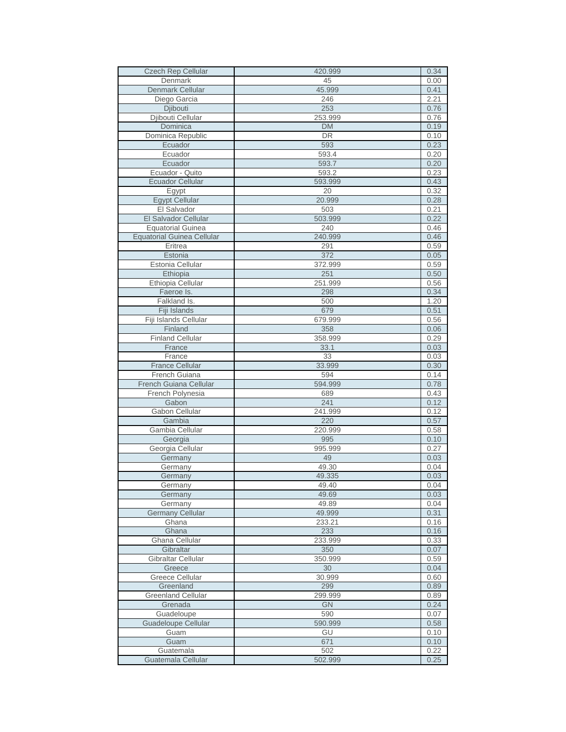| <b>Czech Rep Cellular</b>          | 420.999         | 0.34         |
|------------------------------------|-----------------|--------------|
| Denmark                            | 45              | 0.00         |
| <b>Denmark Cellular</b>            | 45.999          | 0.41         |
| Diego Garcia                       | 246             | 2.21         |
| Djibouti                           | 253             | 0.76         |
| Djibouti Cellular                  | 253.999         | 0.76         |
| Dominica                           | <b>DM</b>       | 0.19         |
| Dominica Republic                  | <b>DR</b>       | 0.10         |
| Ecuador                            | 593             | 0.23         |
| Ecuador                            | 593.4           | 0.20         |
| Ecuador                            | 593.7           | 0.20         |
| Ecuador - Quito                    | 593.2           | 0.23         |
| Ecuador Cellular                   | 593.999         | 0.43         |
| Egypt                              | 20              | 0.32         |
| <b>Egypt Cellular</b>              | 20.999          | 0.28         |
| El Salvador                        | 503             | 0.21         |
| El Salvador Cellular               | 503.999         | 0.22         |
| <b>Equatorial Guinea</b>           | 240             | 0.46         |
| <b>Equatorial Guinea Cellular</b>  | 240.999         | 0.46         |
| Eritrea                            | 291             | 0.59         |
| Estonia                            | 372             | 0.05         |
| Estonia Cellular                   | 372.999         | 0.59         |
| Ethiopia                           | 251             | 0.50         |
| Ethiopia Cellular                  | 251.999         | 0.56         |
| Faeroe Is.                         | 298             | 0.34         |
| Falkland Is.                       | 500             | 1.20         |
| Fiji Islands                       | 679             | 0.51         |
| Fiji Islands Cellular              | 679.999         | 0.56         |
| Finland                            | 358             | 0.06         |
| <b>Finland Cellular</b>            | 358.999         | 0.29         |
| France                             | 33.1            | 0.03         |
| France                             | 33              | 0.03         |
| <b>France Cellular</b>             | 33.999          | 0.30         |
| French Guiana                      | 594             | 0.14         |
| French Guiana Cellular             | 594.999         | 0.78         |
| French Polynesia                   | 689             | 0.43         |
| Gabon                              | 241             | 0.12         |
| Gabon Cellular                     | 241.999         | 0.12         |
| Gambia                             | 220             | 0.57         |
| Gambia Cellular                    | 220.999         | 0.58         |
| Georgia                            | 995             | 0.10         |
| Georgia Cellular                   | 995.999         | 0.27         |
| Germany                            | 49              | 0.03         |
| Germany                            | 49.30           | 0.04         |
| Germany                            | 49.335          | 0.03         |
| Germany                            | 49.40           | 0.04         |
| Germany                            | 49.69           | 0.03         |
| Germany<br><b>Germany Cellular</b> | 49.89<br>49.999 | 0.04<br>0.31 |
| Ghana                              |                 |              |
| Ghana                              | 233.21<br>233   | 0.16<br>0.16 |
| Ghana Cellular                     | 233.999         | 0.33         |
| Gibraltar                          | 350             | 0.07         |
| Gibraltar Cellular                 | 350.999         | 0.59         |
| Greece                             | 30              | 0.04         |
| Greece Cellular                    | 30.999          | 0.60         |
| Greenland                          | 299             | 0.89         |
| <b>Greenland Cellular</b>          | 299.999         | 0.89         |
| Grenada                            | <b>GN</b>       | 0.24         |
| Guadeloupe                         | 590             | 0.07         |
| Guadeloupe Cellular                | 590.999         | 0.58         |
| Guam                               | GU              | 0.10         |
| Guam                               | 671             | 0.10         |
| Guatemala                          | 502             | 0.22         |
| Guatemala Cellular                 | 502.999         | 0.25         |
|                                    |                 |              |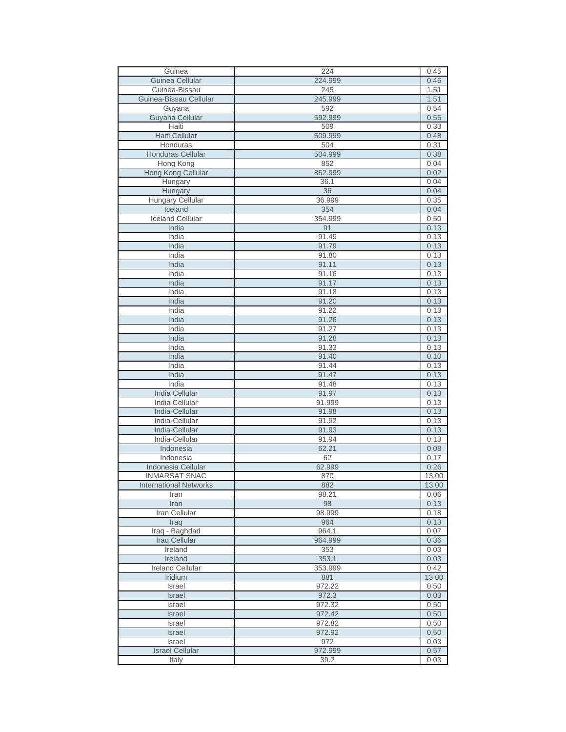| Guinea                        | 224            | 0.45         |
|-------------------------------|----------------|--------------|
| Guinea Cellular               | 224.999        | 0.46         |
| Guinea-Bissau                 | 245            | 1.51         |
| Guinea-Bissau Cellular        | 245.999        | 1.51         |
| Guyana                        | 592            | 0.54         |
| Guyana Cellular               | 592.999        | 0.55         |
| Haiti                         | 509            | 0.33         |
| <b>Haiti Cellular</b>         | 509.999        | 0.48         |
| Honduras                      | 504            | 0.31         |
| Honduras Cellular             | 504.999        | 0.38         |
| Hong Kong                     | 852            | 0.04         |
| Hong Kong Cellular            | 852.999        | 0.02         |
| Hungary                       | 36.1           | 0.04         |
| Hungary                       | 36             | 0.04         |
| <b>Hungary Cellular</b>       | 36.999         | 0.35         |
| Iceland                       | 354            | 0.04         |
| <b>Iceland Cellular</b>       | 354.999        | 0.50         |
| India                         | 91             | 0.13         |
| India                         | 91.49          | 0.13         |
| India                         | 91.79          | 0.13         |
| India                         | 91.80          | 0.13         |
| India                         | 91.11          | 0.13         |
| India                         | 91.16          | 0.13         |
| India                         | 91.17          | 0.13         |
| India                         | 91.18          | 0.13         |
| India                         | 91.20          | 0.13         |
| India                         | 91.22          | 0.13         |
| India                         | 91.26          | 0.13         |
| India                         | 91.27          | 0.13         |
| India                         | 91.28          | 0.13         |
| India<br>India                | 91.33          | 0.13<br>0.10 |
|                               | 91.40<br>91.44 |              |
| India<br>India                | 91.47          | 0.13<br>0.13 |
| India                         | 91.48          | 0.13         |
| India Cellular                | 91.97          | 0.13         |
| India Cellular                | 91.999         | 0.13         |
| India-Cellular                | 91.98          | 0.13         |
| India-Cellular                | 91.92          | 0.13         |
| India-Cellular                | 91.93          | 0.13         |
| India-Cellular                | 91.94          | 0.13         |
| Indonesia                     | 62.21          | 0.08         |
| Indonesia                     | 62             | 0.17         |
| Indonesia Cellular            | 62.999         | 0.26         |
| <b>INMARSAT SNAC</b>          | 870            | 13.00        |
| <b>International Networks</b> | 882            | 13.00        |
| Iran                          | 98.21          | 0.06         |
| Iran                          | 98             | 0.13         |
| Iran Cellular                 | 98.999         | 0.18         |
| Iraq                          | 964            | 0.13         |
| Iraq - Baghdad                | 964.1          | 0.07         |
| Iraq Cellular                 | 964.999        | 0.36         |
| Ireland                       | 353            | 0.03         |
| Ireland                       | 353.1          | 0.03         |
| <b>Ireland Cellular</b>       | 353.999        | 0.42         |
| Iridium                       | 881            | 13.00        |
| Israel                        | 972.22         | 0.50         |
| Israel                        | 972.3          | 0.03         |
| Israel                        | 972.32         | 0.50         |
| <b>Israel</b>                 | 972.42         | 0.50         |
| Israel                        | 972.82         | 0.50         |
| Israel                        | 972.92         | 0.50         |
| Israel                        | 972            | 0.03         |
| <b>Israel Cellular</b>        | 972.999        | 0.57         |
| Italy                         | 39.2           | 0.03         |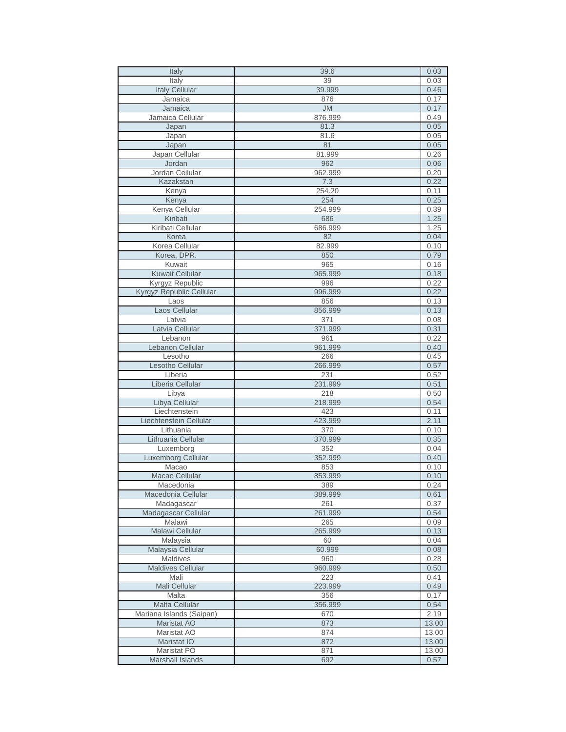| Italy                    | 39.6             | 0.03  |
|--------------------------|------------------|-------|
| Italy                    | 39               | 0.03  |
| <b>Italy Cellular</b>    | 39.999           | 0.46  |
| Jamaica                  | 876              | 0.17  |
| Jamaica                  | <b>JM</b>        | 0.17  |
| Jamaica Cellular         | 876.999          | 0.49  |
| Japan                    | 81.3             | 0.05  |
| Japan                    | 81.6             | 0.05  |
| Japan                    | 81               | 0.05  |
| Japan Cellular           | 81.999           | 0.26  |
| Jordan                   | 962              | 0.06  |
| Jordan Cellular          | 962.999          | 0.20  |
| Kazakstan                | 7.3              | 0.22  |
| Kenya                    | 254.20           | 0.11  |
| Kenya                    | 254              | 0.25  |
| Kenya Cellular           | 254.999          | 0.39  |
| Kiribati                 | 686              | 1.25  |
| Kiribati Cellular        | 686.999          | 1.25  |
| Korea                    | 82               | 0.04  |
| Korea Cellular           | 82.999           | 0.10  |
| Korea, DPR.              |                  |       |
|                          | 850              | 0.79  |
| Kuwait                   | 965              | 0.16  |
| <b>Kuwait Cellular</b>   | 965.999          | 0.18  |
| Kyrgyz Republic          | 996              | 0.22  |
| Kyrgyz Republic Cellular | 996.999          | 0.22  |
| Laos                     | 856              | 0.13  |
| Laos Cellular            | 856.999          | 0.13  |
| Latvia                   | 371              | 0.08  |
| Latvia Cellular          | 371.999          | 0.31  |
| Lebanon                  | 961              | 0.22  |
| Lebanon Cellular         | 961.999          | 0.40  |
| Lesotho                  | 266              | 0.45  |
| Lesotho Cellular         | 266.999          | 0.57  |
| Liberia                  | 231              | 0.52  |
| Liberia Cellular         | 231.999          | 0.51  |
| Libya                    | $\overline{218}$ | 0.50  |
| Libya Cellular           | 218.999          | 0.54  |
| Liechtenstein            | 423              | 0.11  |
| Liechtenstein Cellular   | 423.999          | 2.11  |
| Lithuania                | 370              | 0.10  |
| Lithuania Cellular       | 370.999          | 0.35  |
| Luxemborg                | 352              | 0.04  |
| Luxemborg Cellular       | 352.999          | 0.40  |
| Macao                    | 853              | 0.10  |
| Macao Cellular           | 853.999          | 0.10  |
| Macedonia                | 389              | 0.24  |
| Macedonia Cellular       | 389.999          | 0.61  |
| Madagascar               | 261              | 0.37  |
| Madagascar Cellular      | 261.999          | 0.54  |
| Malawi                   | 265              | 0.09  |
| Malawi Cellular          | 265.999          | 0.13  |
| Malaysia                 | 60               | 0.04  |
| Malaysia Cellular        | 60.999           | 0.08  |
| Maldives                 | 960              | 0.28  |
| <b>Maldives Cellular</b> | 960.999          | 0.50  |
| Mali                     | 223              | 0.41  |
| Mali Cellular            | 223.999          | 0.49  |
| Malta                    | 356              | 0.17  |
| Malta Cellular           | 356.999          | 0.54  |
| Mariana Islands (Saipan) | 670              | 2.19  |
| Maristat AO              | 873              | 13.00 |
| Maristat AO              | 874              | 13.00 |
| Maristat IO              | 872              | 13.00 |
| Maristat PO              | 871              | 13.00 |
| <b>Marshall Islands</b>  | 692              | 0.57  |
|                          |                  |       |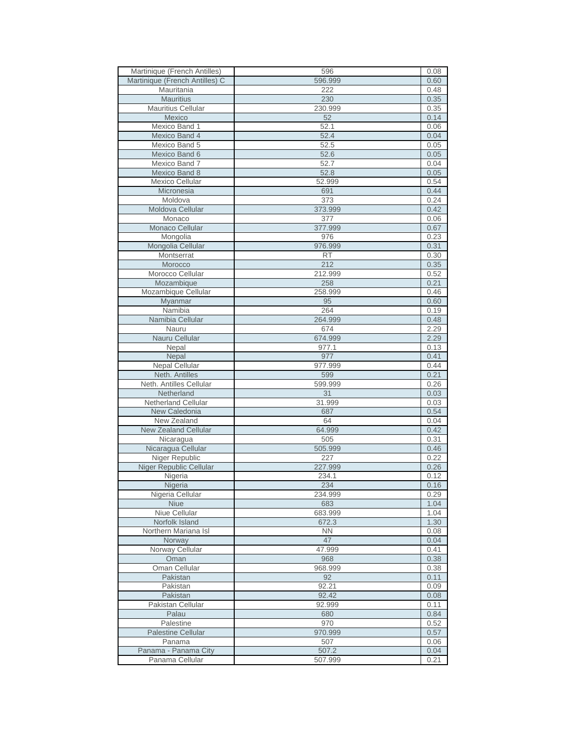| Martinique (French Antilles)    | 596                  | 0.08         |
|---------------------------------|----------------------|--------------|
| Martinique (French Antilles) C  | 596.999              | 0.60         |
| Mauritania                      | 222                  | 0.48         |
| <b>Mauritius</b>                | 230                  | 0.35         |
| <b>Mauritius Cellular</b>       | 230.999              | 0.35         |
| Mexico                          | 52                   | 0.14         |
| Mexico Band 1                   | 52.1                 | 0.06         |
| Mexico Band 4                   | 52.4                 | 0.04         |
| Mexico Band 5                   | 52.5                 | 0.05         |
| Mexico Band 6                   | 52.6                 | 0.05         |
| Mexico Band 7                   | 52.7                 | 0.04         |
| Mexico Band 8                   | 52.8                 | 0.05         |
| Mexico Cellular                 | 52.999               | 0.54         |
| Micronesia                      | 691                  | 0.44         |
| Moldova                         | 373                  | 0.24         |
| Moldova Cellular                | 373.999              | 0.42         |
| Monaco                          | 377                  | 0.06         |
| Monaco Cellular                 | 377.999              | 0.67         |
| Mongolia                        | 976                  | 0.23         |
| Mongolia Cellular<br>Montserrat | 976.999<br><b>RT</b> | 0.31         |
| Morocco                         | 212                  | 0.30         |
| Morocco Cellular                | 212.999              | 0.35<br>0.52 |
| Mozambique                      | 258                  | 0.21         |
| Mozambique Cellular             | 258.999              | 0.46         |
| Myanmar                         | 95                   | 0.60         |
| Namibia                         | 264                  | 0.19         |
| Namibia Cellular                | 264.999              | 0.48         |
| Nauru                           | 674                  | 2.29         |
| Nauru Cellular                  | 674.999              | 2.29         |
| Nepal                           | 977.1                | 0.13         |
| Nepal                           | 977                  | 0.41         |
| Nepal Cellular                  | 977.999              | 0.44         |
| Neth. Antilles                  | 599                  | 0.21         |
| Neth. Antilles Cellular         | 599.999              | 0.26         |
| Netherland                      | 31                   | 0.03         |
| Netherland Cellular             | 31.999               | 0.03         |
| New Caledonia                   | 687                  | 0.54         |
| New Zealand                     | 64                   | 0.04         |
| <b>New Zealand Cellular</b>     | 64.999               | 0.42         |
| Nicaragua                       | 505                  | 0.31         |
| Nicaragua Cellular              | 505.999              | 0.46         |
| Niger Republic                  | 227                  | 0.22         |
| Niger Republic Cellular         | 227.999              | 0.26         |
| Nigeria                         | 234.1                | 0.12         |
| Nigeria                         | 234                  | 0.16         |
| Nigeria Cellular                | 234.999              | 0.29         |
| Niue                            | 683                  | 1.04         |
| Niue Cellular                   | 683.999              | 1.04         |
| Norfolk Island                  | 672.3                | 1.30         |
| Northern Mariana Isl            | <b>NN</b>            | 0.08         |
| Norway                          | 47                   | 0.04         |
| Norway Cellular                 | 47.999               | 0.41         |
| Oman                            | 968                  | 0.38         |
| Oman Cellular                   | 968.999              | 0.38         |
| Pakistan                        | 92                   | 0.11         |
| Pakistan                        | 92.21                | 0.09         |
| Pakistan                        | 92.42                | 0.08         |
| Pakistan Cellular               | 92.999               | 0.11         |
| Palau                           | 680                  | 0.84         |
| Palestine                       | 970                  | 0.52         |
| <b>Palestine Cellular</b>       | 970.999              | 0.57         |
| Panama                          | 507                  | 0.06         |
| Panama - Panama City            | 507.2                | 0.04         |
| Panama Cellular                 | 507.999              | 0.21         |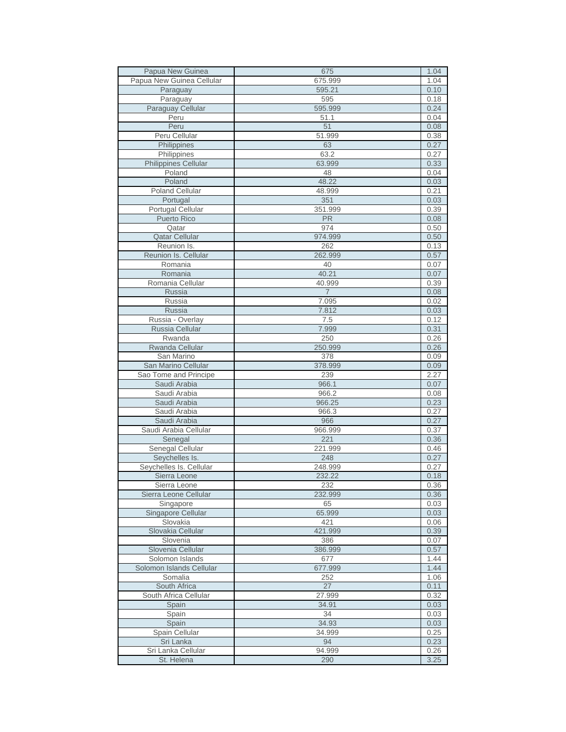| Papua New Guinea          | 675            | 1.04         |
|---------------------------|----------------|--------------|
| Papua New Guinea Cellular | 675.999        | 1.04         |
| Paraguay                  | 595.21         | 0.10         |
| Paraguay                  | 595            | 0.18         |
| Paraguay Cellular         | 595.999        | 0.24         |
| Peru                      | 51.1           | 0.04         |
| Peru                      | 51             | 0.08         |
| Peru Cellular             | 51.999         | 0.38         |
| Philippines               | 63             | 0.27         |
| Philippines               | 63.2           | 0.27         |
| Philippines Cellular      | 63.999         | 0.33         |
| Poland                    | 48             | 0.04         |
| Poland                    | 48.22          | 0.03         |
| <b>Poland Cellular</b>    | 48.999         | 0.21         |
| Portugal                  | 351            | 0.03         |
| Portugal Cellular         | 351.999        | 0.39         |
| Puerto Rico               | <b>PR</b>      | 0.08         |
| Qatar                     | 974            | 0.50         |
| <b>Qatar Cellular</b>     | 974.999        | 0.50         |
| Reunion Is.               | 262            | 0.13         |
| Reunion Is. Cellular      | 262.999<br>40  | 0.57<br>0.07 |
| Romania<br>Romania        | 40.21          | 0.07         |
| Romania Cellular          | 40.999         | 0.39         |
| Russia                    | $\overline{7}$ | 0.08         |
| Russia                    | 7.095          | 0.02         |
| Russia                    | 7.812          | 0.03         |
| Russia - Overlay          | 7.5            | 0.12         |
| Russia Cellular           | 7.999          | 0.31         |
| Rwanda                    | 250            | 0.26         |
| Rwanda Cellular           | 250.999        | 0.26         |
| San Marino                | 378            | 0.09         |
| San Marino Cellular       | 378.999        | 0.09         |
| Sao Tome and Principe     | 239            | 2.27         |
| Saudi Arabia              | 966.1          | 0.07         |
| Saudi Arabia              | 966.2          | 0.08         |
| Saudi Arabia              | 966.25         | 0.23         |
| Saudi Arabia              | 966.3          | 0.27         |
| Saudi Arabia              | 966            | 0.27         |
| Saudi Arabia Cellular     | 966.999        | 0.37         |
| Senegal                   | 221            | 0.36         |
| Senegal Cellular          | 221.999        | 0.46         |
| Seychelles Is.            | 248            | 0.27         |
| Seychelles Is. Cellular   | 248.999        | 0.27         |
| Sierra Leone              | 232.22         | 0.18         |
| Sierra Leone              | 232            | 0.36         |
| Sierra Leone Cellular     | 232.999        | 0.36         |
| Singapore                 | 65             | 0.03         |
| Singapore Cellular        | 65.999         | 0.03         |
| Slovakia                  | 421            | 0.06         |
| Slovakia Cellular         | 421.999        | 0.39         |
| Slovenia                  | 386            | 0.07         |
| Slovenia Cellular         | 386.999        | 0.57         |
| Solomon Islands           | 677            | 1.44         |
| Solomon Islands Cellular  | 677.999        | 1.44         |
| Somalia                   | 252            | 1.06         |
| South Africa              | 27             | 0.11         |
| South Africa Cellular     | 27.999         | 0.32         |
| Spain                     | 34.91          | 0.03         |
| Spain                     | 34             | 0.03         |
| Spain                     | 34.93          | 0.03         |
| Spain Cellular            | 34.999         | 0.25         |
| Sri Lanka                 | 94             | 0.23         |
| Sri Lanka Cellular        | 94.999         | 0.26         |
| St. Helena                | 290            | 3.25         |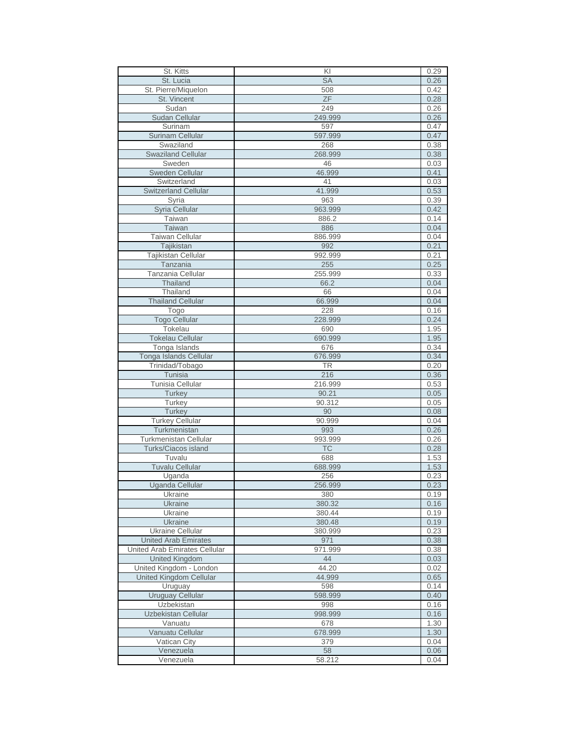| St. Kitts                      | KI              | 0.29         |
|--------------------------------|-----------------|--------------|
| St. Lucia                      | <b>SA</b>       | 0.26         |
| St. Pierre/Miquelon            | 508             | 0.42         |
| St. Vincent                    | ZF              | 0.28         |
| Sudan                          | 249             | 0.26         |
| Sudan Cellular                 | 249.999         | 0.26         |
| Surinam                        | 597             | 0.47         |
| Surinam Cellular               | 597.999         | 0.47         |
| Swaziland                      | 268             | 0.38         |
| <b>Swaziland Cellular</b>      | 268.999         | 0.38         |
| Sweden                         | 46              | 0.03         |
| Sweden Cellular                | 46.999          | 0.41         |
| Switzerland                    | 41              | 0.03         |
| <b>Switzerland Cellular</b>    | 41.999          | 0.53         |
| Syria                          | 963             | 0.39         |
| Syria Cellular                 | 963.999         | 0.42         |
| Taiwan                         | 886.2           | 0.14         |
| Taiwan                         | 886             | 0.04         |
| Taiwan Cellular                | 886.999         | 0.04         |
| Tajikistan                     | 992             | 0.21         |
| Tajikistan Cellular            | 992.999         | 0.21         |
| Tanzania                       | 255             | 0.25         |
| Tanzania Cellular              | 255.999         | 0.33         |
| Thailand                       | 66.2            | 0.04         |
| Thailand                       | 66              | 0.04         |
| <b>Thailand Cellular</b>       | 66.999          | 0.04         |
| Togo                           | 228             | 0.16         |
| <b>Togo Cellular</b>           | 228.999         | 0.24         |
| Tokelau                        | 690             | 1.95         |
| <b>Tokelau Cellular</b>        | 690.999         | 1.95         |
| Tonga Islands                  | 676             | 0.34         |
| Tonga Islands Cellular         | 676.999         | 0.34         |
| Trinidad/Tobago                | TR<br>216       | 0.20<br>0.36 |
| Tunisia                        |                 |              |
| <b>Tunisia Cellular</b>        | 216.999         | 0.53<br>0.05 |
| Turkey                         | 90.21<br>90.312 | 0.05         |
| Turkey<br>Turkey               | 90              | 0.08         |
| <b>Turkey Cellular</b>         | 90.999          | 0.04         |
| Turkmenistan                   | 993             | 0.26         |
| <b>Turkmenistan Cellular</b>   | 993.999         | 0.26         |
| Turks/Ciacos island            | <b>TC</b>       | 0.28         |
| Tuvalu                         | 688             | 1.53         |
| <b>Tuvalu Cellular</b>         | 688.999         | 1.53         |
| Uganda                         | 256             | 0.23         |
| Uganda Cellular                | 256.999         | 0.23         |
| Ukraine                        | 380             | 0.19         |
| Ukraine                        | 380.32          | 0.16         |
| Ukraine                        | 380.44          | 0.19         |
| Ukraine                        | 380.48          | 0.19         |
| Ukraine Cellular               | 380.999         | 0.23         |
| <b>United Arab Emirates</b>    | 971             | 0.38         |
| United Arab Emirates Cellular  | 971.999         | 0.38         |
| <b>United Kingdom</b>          | 44              | 0.03         |
| United Kingdom - London        | 44.20           | 0.02         |
| <b>United Kingdom Cellular</b> | 44.999          | 0.65         |
| Uruguay                        | 598             | 0.14         |
| Uruguay Cellular               | 598.999         | 0.40         |
| Uzbekistan                     | 998             | 0.16         |
| Uzbekistan Cellular            | 998.999         | 0.16         |
| Vanuatu                        | 678             | 1.30         |
| Vanuatu Cellular               | 678.999         | 1.30         |
| Vatican City                   | 379             | 0.04         |
| Venezuela                      | 58              | 0.06         |
| Venezuela                      | 58.212          | 0.04         |